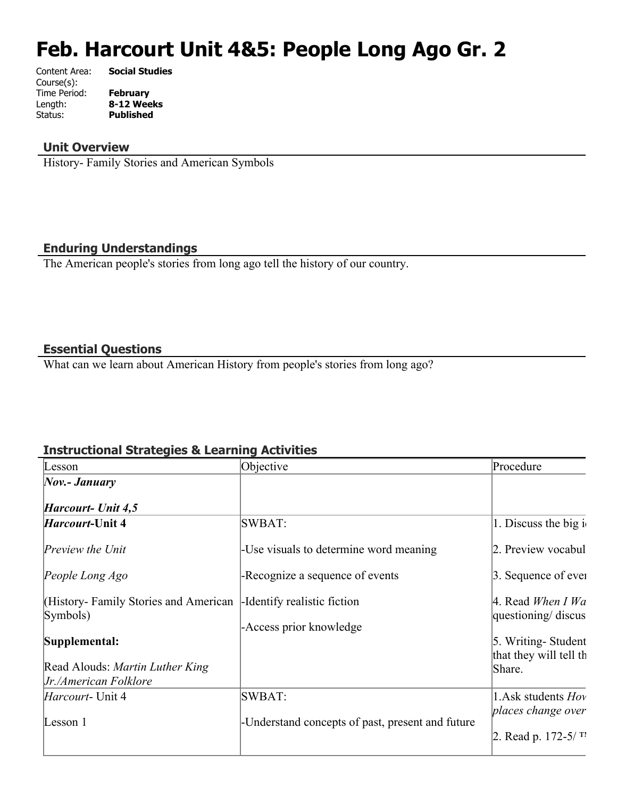# **Feb. Harcourt Unit 4&5: People Long Ago Gr. 2**

| Content Area: | <b>Social Studies</b> |
|---------------|-----------------------|
| Course(s):    |                       |
| Time Period:  | <b>February</b>       |
| Length:       | 8-12 Weeks            |
| Status:       | <b>Published</b>      |
|               |                       |

#### **Unit Overview**

History- Family Stories and American Symbols

#### **Enduring Understandings**

The American people's stories from long ago tell the history of our country.

#### **Essential Questions**

What can we learn about American History from people's stories from long ago?

#### **Instructional Strategies & Learning Activities**

| Lesson                                                   | Objective                                        | Procedure                                    |
|----------------------------------------------------------|--------------------------------------------------|----------------------------------------------|
| $\Delta$ <i>Nov.</i> - <i>January</i>                    |                                                  |                                              |
| Harcourt- Unit 4,5                                       |                                                  |                                              |
| <i>Harcourt</i> -Unit 4                                  | SWBAT:                                           | 1. Discuss the big $i_1$                     |
| <i>Preview the Unit</i>                                  | -Use visuals to determine word meaning           | 2. Preview vocabul                           |
| People Long Ago                                          | -Recognize a sequence of events                  | 3. Sequence of ever                          |
| (History-Family Stories and American<br>Symbols)         | -Identify realistic fiction                      | 4. Read When I Wa<br>questioning/ discus     |
| Supplemental:                                            | -Access prior knowledge                          | 5. Writing-Student<br>that they will tell th |
| Read Alouds: Martin Luther King<br>Jr./American Folklore |                                                  | Share.                                       |
| <i>Harcourt</i> - Unit 4                                 | SWBAT:                                           | 1. Ask students $Hov$                        |
| Lesson 1                                                 | -Understand concepts of past, present and future | places change over<br>2. Read p. $172-5/T$   |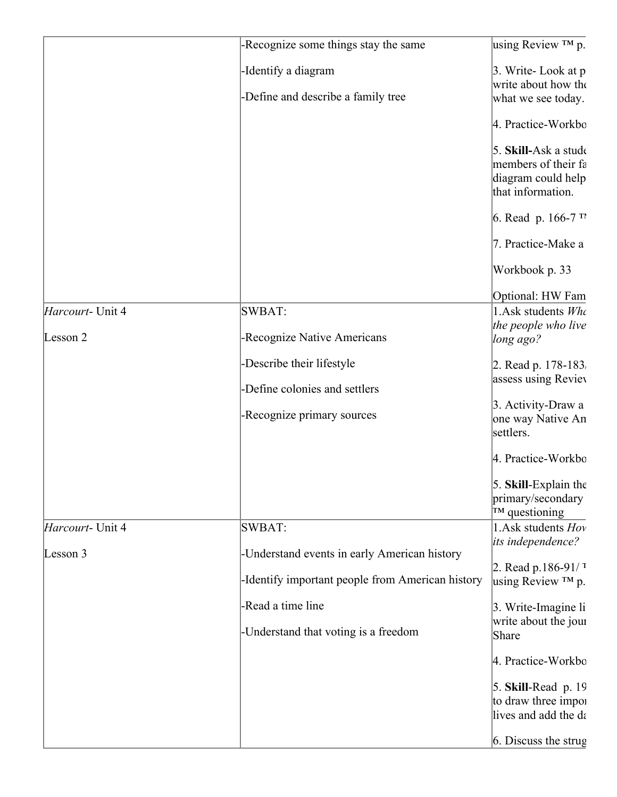|                  | -Recognize some things stay the same             | using Review $TM$ p.                                    |
|------------------|--------------------------------------------------|---------------------------------------------------------|
|                  | -Identify a diagram                              | 3. Write-Look at p<br>write about how the               |
|                  | -Define and describe a family tree               | what we see today.                                      |
|                  |                                                  | 4. Practice-Workbo                                      |
|                  |                                                  | 5. Skill-Ask a stude                                    |
|                  |                                                  | members of their fa                                     |
|                  |                                                  | diagram could help<br>that information.                 |
|                  |                                                  | 6. Read p. $166-7$ T                                    |
|                  |                                                  | 7. Practice-Make a                                      |
|                  |                                                  | Workbook p. 33                                          |
|                  |                                                  | Optional: HW Fam                                        |
| Harcourt- Unit 4 | SWBAT:                                           | 1. Ask students Who                                     |
|                  |                                                  | the people who live                                     |
| Lesson 2         | -Recognize Native Americans                      | long ago?                                               |
|                  | -Describe their lifestyle                        | 2. Read p. 178-183.                                     |
|                  | -Define colonies and settlers                    | assess using Reviev                                     |
|                  | -Recognize primary sources                       | 3. Activity-Draw a                                      |
|                  |                                                  | one way Native An<br>settlers.                          |
|                  |                                                  | 4. Practice-Workbo                                      |
|                  |                                                  | 5. Skill-Explain the                                    |
|                  |                                                  | primary/secondary                                       |
|                  |                                                  | $T^M$ questioning                                       |
| Harcourt- Unit 4 | SWBAT:                                           | 1. Ask students Hov                                     |
| Lesson 3         | -Understand events in early American history     | its independence?                                       |
|                  | -Identify important people from American history | 2. Read p.186-91/ $\frac{1}{1}$<br>using Review $TM$ p. |
|                  | -Read a time line                                | 3. Write-Imagine li                                     |
|                  |                                                  | write about the jour                                    |
|                  | -Understand that voting is a freedom             | Share                                                   |
|                  |                                                  | 4. Practice-Workbo                                      |
|                  |                                                  | $5.$ Skill-Read p. 19                                   |
|                  |                                                  | to draw three impor                                     |
|                  |                                                  | lives and add the da                                    |
|                  |                                                  | $6.$ Discuss the strug                                  |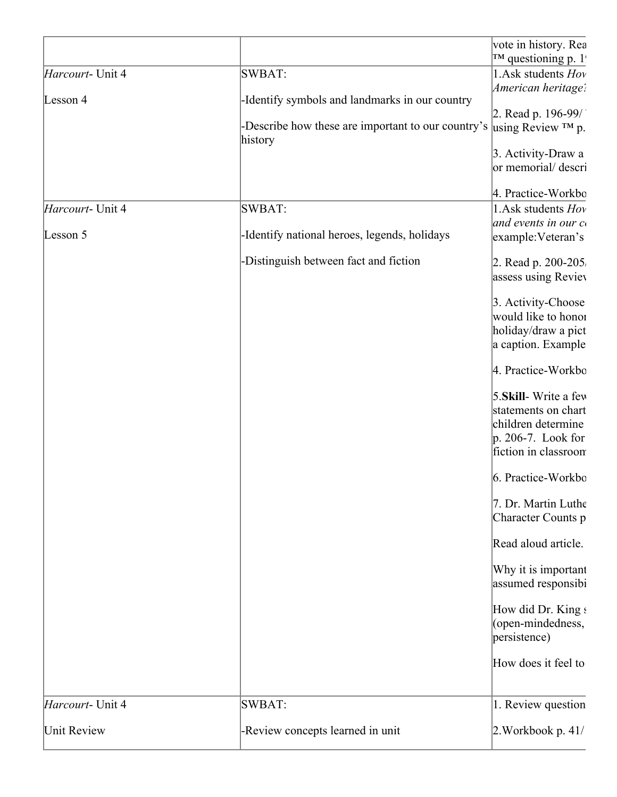|                  |                                                    | vote in history. Rea   |
|------------------|----------------------------------------------------|------------------------|
|                  |                                                    | $T^M$ questioning p. 1 |
| Harcourt- Unit 4 | SWBAT:                                             | 1. Ask students Hov    |
|                  |                                                    | American heritage:     |
| Lesson 4         | -Identify symbols and landmarks in our country     |                        |
|                  |                                                    | 2. Read p. $196-99/$   |
|                  | -Describe how these are important to our country's | using Review $TM$ p.   |
|                  | history                                            |                        |
|                  |                                                    | 3. Activity-Draw a     |
|                  |                                                    | or memorial/ descri    |
|                  |                                                    | 4. Practice-Workbo     |
| Harcourt- Unit 4 | SWBAT:                                             | 1. Ask students Hov    |
|                  |                                                    | and events in our co   |
| Lesson 5         | -Identify national heroes, legends, holidays       | example: Veteran's     |
|                  |                                                    |                        |
|                  | -Distinguish between fact and fiction              | 2. Read p. 200-205.    |
|                  |                                                    | assess using Reviev    |
|                  |                                                    | 3. Activity-Choose     |
|                  |                                                    | would like to honor    |
|                  |                                                    |                        |
|                  |                                                    | holiday/draw a pict    |
|                  |                                                    | a caption. Example     |
|                  |                                                    | 4. Practice-Workbo     |
|                  |                                                    | 5. Skill-Write a few   |
|                  |                                                    | statements on chart    |
|                  |                                                    | children determine     |
|                  |                                                    | $p. 206-7$ . Look for  |
|                  |                                                    | fiction in classroom   |
|                  |                                                    |                        |
|                  |                                                    | 6. Practice-Workbo     |
|                  |                                                    | 7. Dr. Martin Luthe    |
|                  |                                                    | Character Counts p     |
|                  |                                                    | Read aloud article.    |
|                  |                                                    | Why it is important    |
|                  |                                                    | assumed responsibi     |
|                  |                                                    |                        |
|                  |                                                    | How did Dr. King s     |
|                  |                                                    | (open-mindedness,      |
|                  |                                                    | persistence)           |
|                  |                                                    |                        |
|                  |                                                    | How does it feel to    |
| Harcourt- Unit 4 | SWBAT:                                             | 1. Review question     |
|                  |                                                    |                        |
| Unit Review      | -Review concepts learned in unit                   | 2. Workbook p. 41/     |
|                  |                                                    |                        |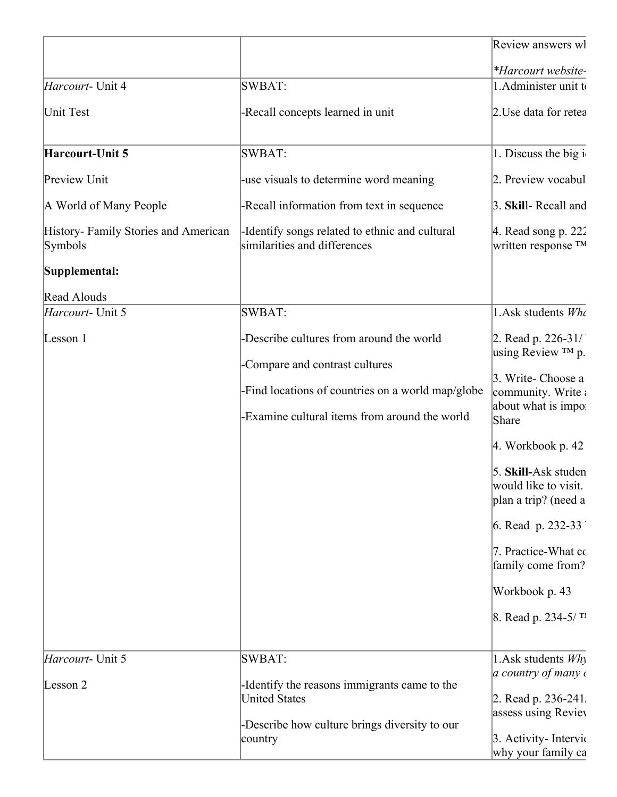|                                                |                                                                                                                                                                                  | Review answers wl                                                                                                                                                                                                                                                                                                               |
|------------------------------------------------|----------------------------------------------------------------------------------------------------------------------------------------------------------------------------------|---------------------------------------------------------------------------------------------------------------------------------------------------------------------------------------------------------------------------------------------------------------------------------------------------------------------------------|
|                                                |                                                                                                                                                                                  | *Harcourt website-                                                                                                                                                                                                                                                                                                              |
| Harcourt- Unit 4                               | SWBAT:                                                                                                                                                                           | 1. Administer unit to                                                                                                                                                                                                                                                                                                           |
| Unit Test                                      | -Recall concepts learned in unit                                                                                                                                                 | 2. Use data for retea                                                                                                                                                                                                                                                                                                           |
| Harcourt-Unit 5                                | SWBAT:                                                                                                                                                                           | 1. Discuss the big i                                                                                                                                                                                                                                                                                                            |
| Preview Unit                                   | -use visuals to determine word meaning                                                                                                                                           | 2. Preview vocabul                                                                                                                                                                                                                                                                                                              |
| A World of Many People                         | -Recall information from text in sequence                                                                                                                                        | 3. Skill-Recall and                                                                                                                                                                                                                                                                                                             |
| History-Family Stories and American<br>Symbols | -Identify songs related to ethnic and cultural<br>similarities and differences                                                                                                   | 4. Read song $p. 222$<br>written response $TM$                                                                                                                                                                                                                                                                                  |
| Supplemental:                                  |                                                                                                                                                                                  |                                                                                                                                                                                                                                                                                                                                 |
| Read Alouds                                    |                                                                                                                                                                                  |                                                                                                                                                                                                                                                                                                                                 |
| Harcourt- Unit 5                               | SWBAT:                                                                                                                                                                           | 1.Ask students Who                                                                                                                                                                                                                                                                                                              |
| Lesson 1                                       | -Describe cultures from around the world<br>-Compare and contrast cultures<br>-Find locations of countries on a world map/globe<br>-Examine cultural items from around the world | 2. Read p. $226-31/7$<br>using Review ™ p.<br>3. Write- Choose a<br>community. Write a<br>about what is impo:<br>Share<br>$ 4.$ Workbook p. 42<br>5. Skill-Ask studen<br>would like to visit.<br>plan a trip? (need a<br>6. Read p. 232-33<br>7. Practice-What co<br>family come from?<br>Workbook p. 43<br>8. Read p. 234-5/TI |
| Harcourt- Unit 5<br>Lesson 2                   | SWBAT:<br>-Identify the reasons immigrants came to the<br><b>United States</b><br>-Describe how culture brings diversity to our<br>country                                       | 1. Ask students Why<br>$ a\> country\ of\ many\ c$<br>2. Read p. 236-241.<br>assess using Reviev<br>3. Activity-Intervic<br>why your family ca                                                                                                                                                                                  |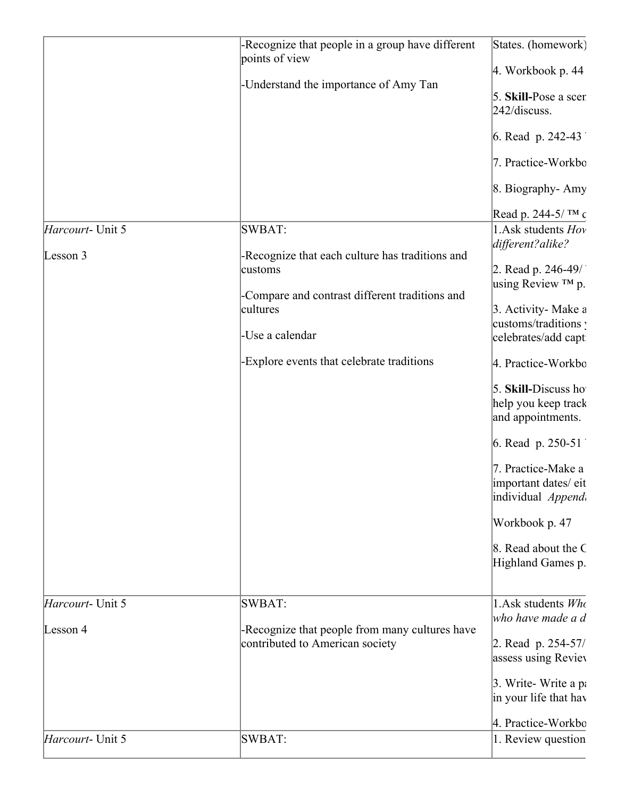| Harcourt- Unit 5         | -Recognize that people in a group have different<br>points of view<br>-Understand the importance of Amy Tan<br>SWBAT:                                                                    | States. (homework)<br>$4.$ Workbook p. $44$<br>5. Skill-Pose a scer<br>$242$ /discuss.<br>6. Read p. 242-43<br>7. Practice-Workbo<br>8. Biography-Amy<br>Read p. 244-5/TM c<br>1. Ask students Hov<br>different?alike?                                                                                                                                                |
|--------------------------|------------------------------------------------------------------------------------------------------------------------------------------------------------------------------------------|-----------------------------------------------------------------------------------------------------------------------------------------------------------------------------------------------------------------------------------------------------------------------------------------------------------------------------------------------------------------------|
| Lesson 3                 | -Recognize that each culture has traditions and<br>customs<br>-Compare and contrast different traditions and<br>cultures<br>-Use a calendar<br>-Explore events that celebrate traditions | 2. Read p. 246-49/<br>using Review ™ p.<br>3. Activity- Make a<br>customs/traditions :<br>celebrates/add capt<br>4. Practice-Workbo<br>5. Skill-Discuss ho<br>help you keep track<br>and appointments.<br>6. Read p. $250-51$<br>7. Practice-Make a<br>important dates/eit<br>individual <i>Appendi</i><br>Workbook p. 47<br>8. Read about the C<br>Highland Games p. |
| <i>Harcourt</i> - Unit 5 | SWBAT:                                                                                                                                                                                   | 1. Ask students $W h$                                                                                                                                                                                                                                                                                                                                                 |
| Lesson 4                 | -Recognize that people from many cultures have<br>contributed to American society                                                                                                        | who have made a d<br>2. Read p. 254-57/<br>assess using Reviev<br>3. Write-Write a pa<br>in your life that have<br>4. Practice-Workbo                                                                                                                                                                                                                                 |
| Harcourt- Unit 5         | SWBAT:                                                                                                                                                                                   | 1. Review question                                                                                                                                                                                                                                                                                                                                                    |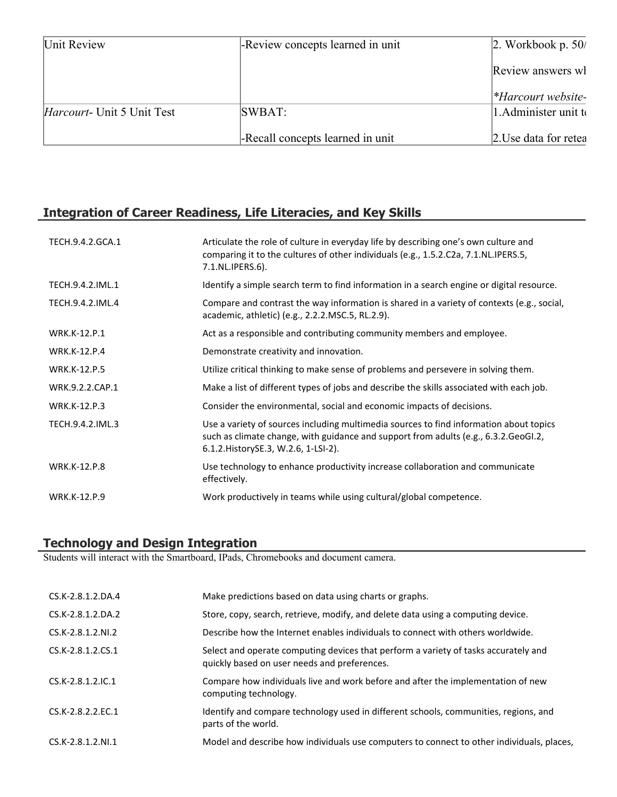| Unit Review                        | -Review concepts learned in unit | $\vert 2.$ Workbook p. 50/ |
|------------------------------------|----------------------------------|----------------------------|
|                                    |                                  | Review answers wh          |
|                                    |                                  | $*Harcourt website-$       |
| <i>Harcourt</i> - Unit 5 Unit Test | SWBAT:                           | 1. Administer unit to      |
|                                    | -Recall concepts learned in unit | 2. Use data for retea      |

# **Integration of Career Readiness, Life Literacies, and Key Skills**

| TECH.9.4.2.GCA.1    | Articulate the role of culture in everyday life by describing one's own culture and<br>comparing it to the cultures of other individuals (e.g., 1.5.2.C2a, 7.1.NL.IPERS.5,<br>7.1.NL.IPERS.6).                         |
|---------------------|------------------------------------------------------------------------------------------------------------------------------------------------------------------------------------------------------------------------|
| TECH.9.4.2.IML.1    | Identify a simple search term to find information in a search engine or digital resource.                                                                                                                              |
| TECH.9.4.2.IML.4    | Compare and contrast the way information is shared in a variety of contexts (e.g., social,<br>academic, athletic) (e.g., 2.2.2. MSC.5, RL.2.9).                                                                        |
| <b>WRK.K-12.P.1</b> | Act as a responsible and contributing community members and employee.                                                                                                                                                  |
| <b>WRK.K-12.P.4</b> | Demonstrate creativity and innovation.                                                                                                                                                                                 |
| <b>WRK.K-12.P.5</b> | Utilize critical thinking to make sense of problems and persevere in solving them.                                                                                                                                     |
| WRK.9.2.2.CAP.1     | Make a list of different types of jobs and describe the skills associated with each job.                                                                                                                               |
| <b>WRK.K-12.P.3</b> | Consider the environmental, social and economic impacts of decisions.                                                                                                                                                  |
| TECH.9.4.2.IML.3    | Use a variety of sources including multimedia sources to find information about topics<br>such as climate change, with guidance and support from adults (e.g., 6.3.2.GeoGI.2,<br>6.1.2. History SE.3, W.2.6, 1-LSI-2). |
| <b>WRK.K-12.P.8</b> | Use technology to enhance productivity increase collaboration and communicate<br>effectively.                                                                                                                          |
| <b>WRK.K-12.P.9</b> | Work productively in teams while using cultural/global competence.                                                                                                                                                     |

## **Technology and Design Integration**

Students will interact with the Smartboard, IPads, Chromebooks and document camera.

| CS.K-2.8.1.2.DA.4   | Make predictions based on data using charts or graphs.                                                                              |
|---------------------|-------------------------------------------------------------------------------------------------------------------------------------|
| CS.K-2.8.1.2.DA.2   | Store, copy, search, retrieve, modify, and delete data using a computing device.                                                    |
| CS.K-2.8.1.2.NI.2   | Describe how the Internet enables individuals to connect with others worldwide.                                                     |
| CS.K-2.8.1.2.CS.1   | Select and operate computing devices that perform a variety of tasks accurately and<br>quickly based on user needs and preferences. |
| $CS.K-2.8.1.2.1C.1$ | Compare how individuals live and work before and after the implementation of new<br>computing technology.                           |
| CS.K-2.8.2.2.EC.1   | Identify and compare technology used in different schools, communities, regions, and<br>parts of the world.                         |
| CS.K-2.8.1.2.NI.1   | Model and describe how individuals use computers to connect to other individuals, places,                                           |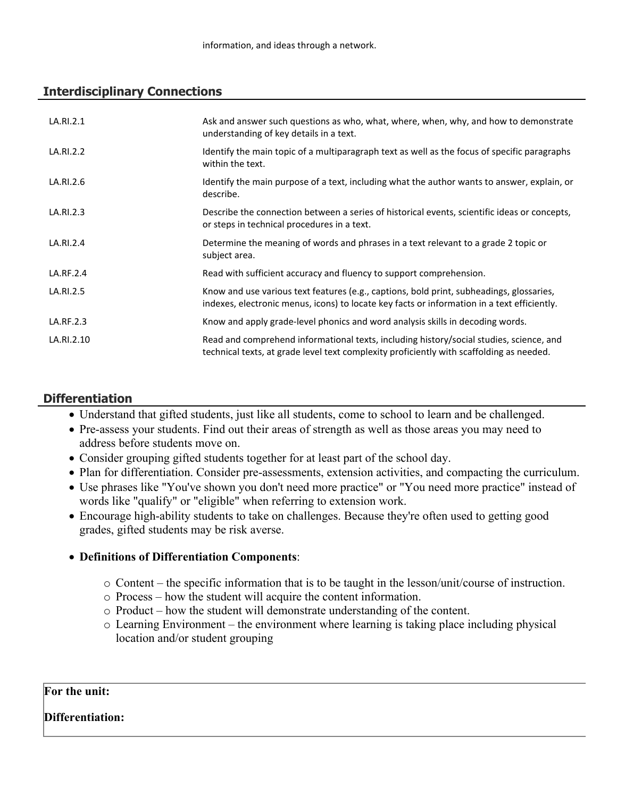# **Interdisciplinary Connections**

| LA.RI.2.1  | Ask and answer such questions as who, what, where, when, why, and how to demonstrate<br>understanding of key details in a text.                                                         |
|------------|-----------------------------------------------------------------------------------------------------------------------------------------------------------------------------------------|
| LA.RI.2.2  | Identify the main topic of a multiparagraph text as well as the focus of specific paragraphs<br>within the text.                                                                        |
| LA.RI.2.6  | Identify the main purpose of a text, including what the author wants to answer, explain, or<br>describe.                                                                                |
| LA.RI.2.3  | Describe the connection between a series of historical events, scientific ideas or concepts,<br>or steps in technical procedures in a text.                                             |
| LA.RI.2.4  | Determine the meaning of words and phrases in a text relevant to a grade 2 topic or<br>subject area.                                                                                    |
| LA.RF.2.4  | Read with sufficient accuracy and fluency to support comprehension.                                                                                                                     |
| LA.RI.2.5  | Know and use various text features (e.g., captions, bold print, subheadings, glossaries,<br>indexes, electronic menus, icons) to locate key facts or information in a text efficiently. |
| LA.RF.2.3  | Know and apply grade-level phonics and word analysis skills in decoding words.                                                                                                          |
| LA.RI.2.10 | Read and comprehend informational texts, including history/social studies, science, and<br>technical texts, at grade level text complexity proficiently with scaffolding as needed.     |

# **Differentiation**

- Understand that gifted students, just like all students, come to school to learn and be challenged.
- Pre-assess your students. Find out their areas of strength as well as those areas you may need to address before students move on.
- Consider grouping gifted students together for at least part of the school day.
- Plan for differentiation. Consider pre-assessments, extension activities, and compacting the curriculum.
- Use phrases like "You've shown you don't need more practice" or "You need more practice" instead of words like "qualify" or "eligible" when referring to extension work.
- Encourage high-ability students to take on challenges. Because they're often used to getting good grades, gifted students may be risk averse.

## **Definitions of Differentiation Components**:

- o Content the specific information that is to be taught in the lesson/unit/course of instruction.
- o Process how the student will acquire the content information.
- o Product how the student will demonstrate understanding of the content.
- o Learning Environment the environment where learning is taking place including physical location and/or student grouping

#### **For the unit:**

#### **Differentiation:**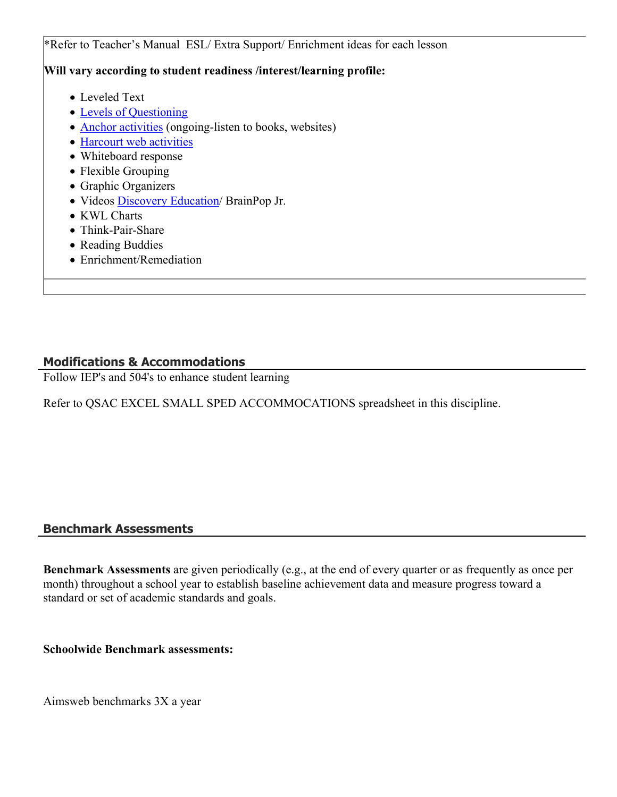\*Refer to Teacher's Manual ESL/ Extra Support/ Enrichment ideas for each lesson **Will vary according to student readiness /interest/learning profile:** Leveled Text • [Levels of Questioning](http://www.bloomstaxonomy.org/Blooms%20Taxonomy%20questions.pdf) • [Anchor activities](http://www.rec4.com/filestore/REC4_AnchorActivityPacket_080513.pdf) (ongoing-listen to books, websites) • [Harcourt web activities](http://www.harcourtschool.com/ss1/) • Whiteboard response • Flexible Grouping • Graphic Organizers Videos [Discovery Education/](http://www.discoveryeducation.com/) BrainPop Jr.

- KWL Charts
- Think-Pair-Share
- Reading Buddies
- Enrichment/Remediation

#### **Modifications & Accommodations**

Follow IEP's and 504's to enhance student learning

Refer to QSAC EXCEL SMALL SPED ACCOMMOCATIONS spreadsheet in this discipline.

#### **Benchmark Assessments**

**Benchmark Assessments** are given periodically (e.g., at the end of every quarter or as frequently as once per month) throughout a school year to establish baseline achievement data and measure progress toward a standard or set of academic standards and goals.

**Schoolwide Benchmark assessments:**

Aimsweb benchmarks 3X a year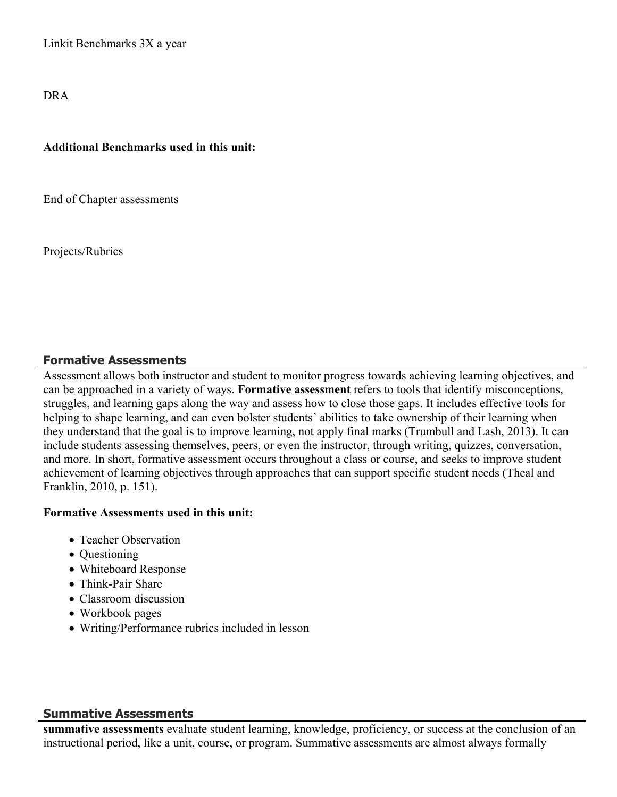Linkit Benchmarks 3X a year

DRA

#### **Additional Benchmarks used in this unit:**

End of Chapter assessments

Projects/Rubrics

#### **Formative Assessments**

Assessment allows both instructor and student to monitor progress towards achieving learning objectives, and can be approached in a variety of ways. **Formative assessment** refers to tools that identify misconceptions, struggles, and learning gaps along the way and assess how to close those gaps. It includes effective tools for helping to shape learning, and can even bolster students' abilities to take ownership of their learning when they understand that the goal is to improve learning, not apply final marks (Trumbull and Lash, 2013). It can include students assessing themselves, peers, or even the instructor, through writing, quizzes, conversation, and more. In short, formative assessment occurs throughout a class or course, and seeks to improve student achievement of learning objectives through approaches that can support specific student needs (Theal and Franklin, 2010, p. 151).

#### **Formative Assessments used in this unit:**

- Teacher Observation
- Questioning
- Whiteboard Response
- Think-Pair Share
- Classroom discussion
- Workbook pages
- Writing/Performance rubrics included in lesson

#### **Summative Assessments**

**summative assessments** evaluate student learning, knowledge, proficiency, or success at the conclusion of an instructional period, like a unit, course, or program. Summative assessments are almost always formally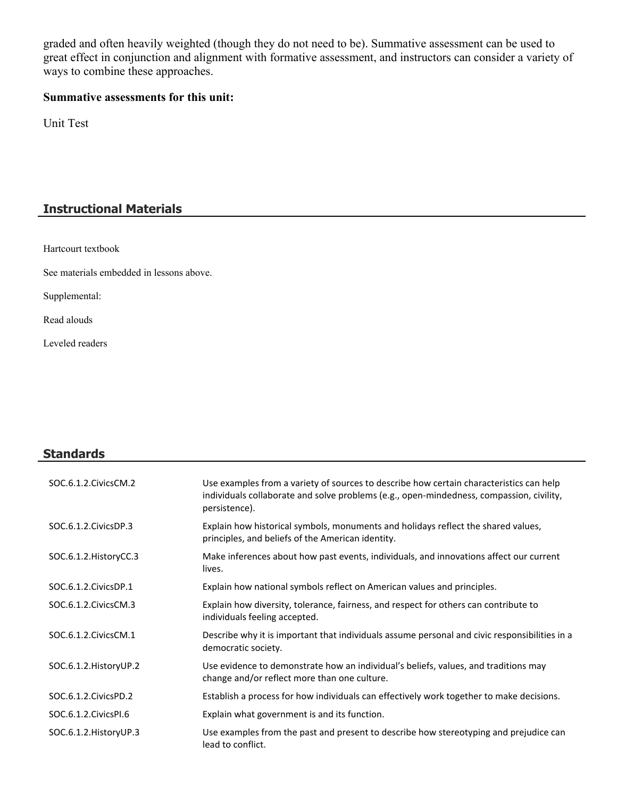graded and often heavily weighted (though they do not need to be). Summative assessment can be used to great effect in conjunction and alignment with formative assessment, and instructors can consider a variety of ways to combine these approaches.

# **Summative assessments for this unit:**

Unit Test

# **Instructional Materials**

Hartcourt textbook

See materials embedded in lessons above.

Supplemental:

Read alouds

Leveled readers

# **Standards**

| SOC.6.1.2. Civics CM.2  | Use examples from a variety of sources to describe how certain characteristics can help<br>individuals collaborate and solve problems (e.g., open-mindedness, compassion, civility,<br>persistence). |
|-------------------------|------------------------------------------------------------------------------------------------------------------------------------------------------------------------------------------------------|
| SOC.6.1.2. Civics DP.3  | Explain how historical symbols, monuments and holidays reflect the shared values,<br>principles, and beliefs of the American identity.                                                               |
| SOC.6.1.2. HistoryCC.3  | Make inferences about how past events, individuals, and innovations affect our current<br>lives.                                                                                                     |
| SOC.6.1.2. Civics DP.1  | Explain how national symbols reflect on American values and principles.                                                                                                                              |
| SOC.6.1.2. Civics CM.3  | Explain how diversity, tolerance, fairness, and respect for others can contribute to<br>individuals feeling accepted.                                                                                |
| SOC.6.1.2. Civics CM.1  | Describe why it is important that individuals assume personal and civic responsibilities in a<br>democratic society.                                                                                 |
| SOC.6.1.2. History UP.2 | Use evidence to demonstrate how an individual's beliefs, values, and traditions may<br>change and/or reflect more than one culture.                                                                  |
| SOC.6.1.2. Civics PD.2  | Establish a process for how individuals can effectively work together to make decisions.                                                                                                             |
| SOC.6.1.2. Civics PI.6  | Explain what government is and its function.                                                                                                                                                         |
| SOC.6.1.2. History UP.3 | Use examples from the past and present to describe how stereotyping and prejudice can<br>lead to conflict.                                                                                           |